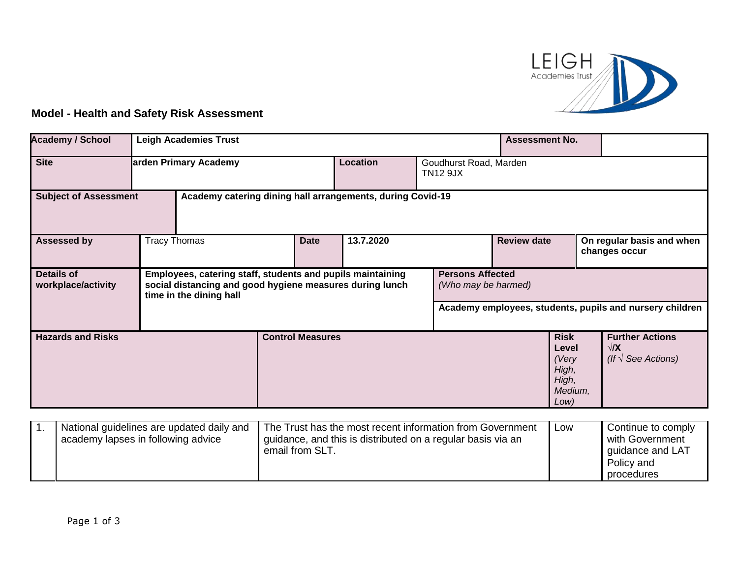

## **Model - Health and Safety Risk Assessment**

| <b>Academy / School</b>                                                                    |                                                                                                                                                                                                     | <b>Leigh Academies Trust</b><br><b>Assessment No.</b> |                         |           |                                                          |                    |                                                                    |                                                                     |  |
|--------------------------------------------------------------------------------------------|-----------------------------------------------------------------------------------------------------------------------------------------------------------------------------------------------------|-------------------------------------------------------|-------------------------|-----------|----------------------------------------------------------|--------------------|--------------------------------------------------------------------|---------------------------------------------------------------------|--|
| <b>Site</b>                                                                                | Location<br>arden Primary Academy<br>Goudhurst Road, Marden<br><b>TN12 9JX</b>                                                                                                                      |                                                       |                         |           |                                                          |                    |                                                                    |                                                                     |  |
| <b>Subject of Assessment</b><br>Academy catering dining hall arrangements, during Covid-19 |                                                                                                                                                                                                     |                                                       |                         |           |                                                          |                    |                                                                    |                                                                     |  |
| <b>Assessed by</b>                                                                         | <b>Tracy Thomas</b>                                                                                                                                                                                 |                                                       | <b>Date</b>             | 13.7.2020 |                                                          | <b>Review date</b> |                                                                    | On regular basis and when<br>changes occur                          |  |
| <b>Details of</b><br>workplace/activity                                                    | Employees, catering staff, students and pupils maintaining<br><b>Persons Affected</b><br>social distancing and good hygiene measures during lunch<br>(Who may be harmed)<br>time in the dining hall |                                                       |                         |           | Academy employees, students, pupils and nursery children |                    |                                                                    |                                                                     |  |
| <b>Hazards and Risks</b>                                                                   |                                                                                                                                                                                                     |                                                       | <b>Control Measures</b> |           |                                                          |                    | <b>Risk</b><br>Level<br>(Very<br>High,<br>High,<br>Medium,<br>Low) | <b>Further Actions</b><br>$\sqrt{X}$<br>(If $\sqrt{ }$ See Actions) |  |

| National guidelines are updated daily and<br>academy lapses in following advice | The Trust has the most recent information from Government<br>guidance, and this is distributed on a regular basis via an<br>email from SLT. | Low | Continue to comply<br>with Government<br>guidance and LAT<br>Policy and<br>procedures |
|---------------------------------------------------------------------------------|---------------------------------------------------------------------------------------------------------------------------------------------|-----|---------------------------------------------------------------------------------------|
|---------------------------------------------------------------------------------|---------------------------------------------------------------------------------------------------------------------------------------------|-----|---------------------------------------------------------------------------------------|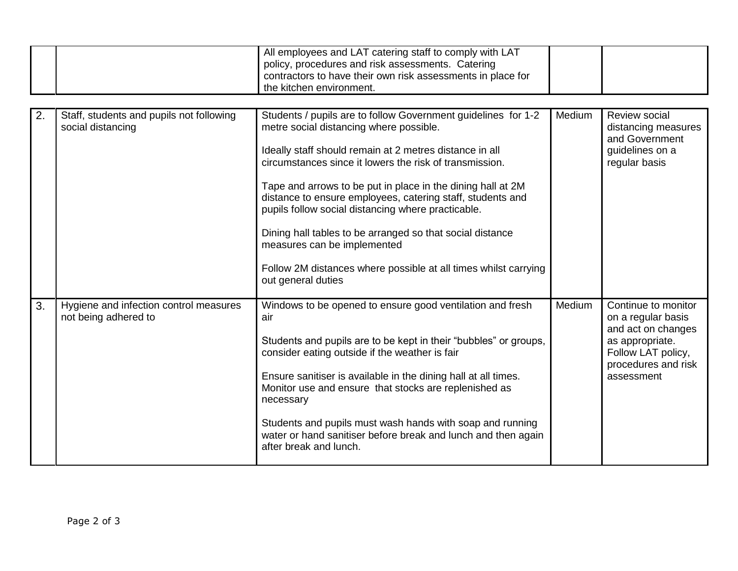|  | All employees and LAT catering staff to comply with LAT<br>policy, procedures and risk assessments. Catering<br>contractors to have their own risk assessments in place for |  |
|--|-----------------------------------------------------------------------------------------------------------------------------------------------------------------------------|--|
|  | I the kitchen environment.                                                                                                                                                  |  |

| 2. | Staff, students and pupils not following<br>social distancing  | Students / pupils are to follow Government guidelines for 1-2<br>metre social distancing where possible.<br>Ideally staff should remain at 2 metres distance in all<br>circumstances since it lowers the risk of transmission.<br>Tape and arrows to be put in place in the dining hall at 2M<br>distance to ensure employees, catering staff, students and<br>pupils follow social distancing where practicable.<br>Dining hall tables to be arranged so that social distance<br>measures can be implemented<br>Follow 2M distances where possible at all times whilst carrying<br>out general duties | Medium | Review social<br>distancing measures<br>and Government<br>guidelines on a<br>regular basis                                                    |
|----|----------------------------------------------------------------|--------------------------------------------------------------------------------------------------------------------------------------------------------------------------------------------------------------------------------------------------------------------------------------------------------------------------------------------------------------------------------------------------------------------------------------------------------------------------------------------------------------------------------------------------------------------------------------------------------|--------|-----------------------------------------------------------------------------------------------------------------------------------------------|
| 3. | Hygiene and infection control measures<br>not being adhered to | Windows to be opened to ensure good ventilation and fresh<br>air<br>Students and pupils are to be kept in their "bubbles" or groups,<br>consider eating outside if the weather is fair<br>Ensure sanitiser is available in the dining hall at all times.<br>Monitor use and ensure that stocks are replenished as<br>necessary<br>Students and pupils must wash hands with soap and running<br>water or hand sanitiser before break and lunch and then again<br>after break and lunch.                                                                                                                 | Medium | Continue to monitor<br>on a regular basis<br>and act on changes<br>as appropriate.<br>Follow LAT policy,<br>procedures and risk<br>assessment |